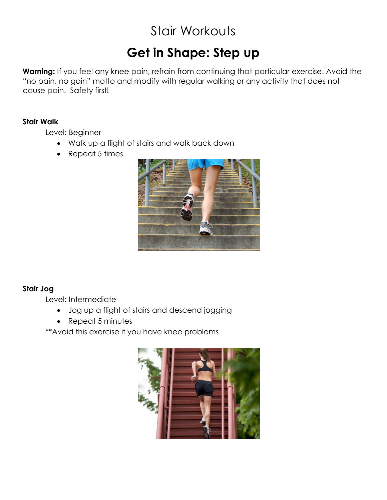# Stair Workouts

# **Get in Shape: Step up**

**Warning:** If you feel any knee pain, refrain from continuing that particular exercise. Avoid the "no pain, no gain" motto and modify with regular walking or any activity that does not cause pain. Safety first!

#### **Stair Walk**

Level: Beginner

- Walk up a flight of stairs and walk back down
- Repeat 5 times



# **Stair Jog**

Level: Intermediate

- Jog up a flight of stairs and descend jogging
- Repeat 5 minutes

\*\*Avoid this exercise if you have knee problems

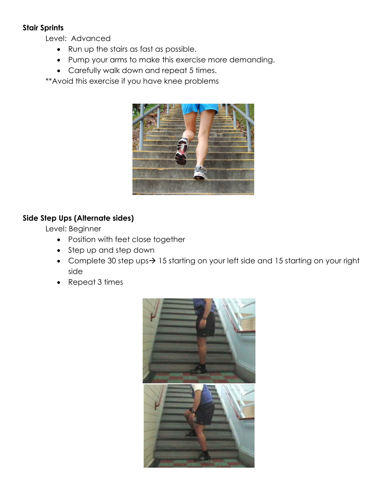#### **Stair Sprints**

Level: Advanced

- Run up the stairs as fast as possible.
- Pump your arms to make this exercise more demanding.
- Carefully walk down and repeat 5 times.

\*\*Avoid this exercise if you have knee problems



# **Side Step Ups (Alternate sides)**

Level: Beginner

- Position with feet close together
- Step up and step down
- Complete 30 step ups $\rightarrow$  15 starting on your left side and 15 starting on your right side
- Repeat 3 times

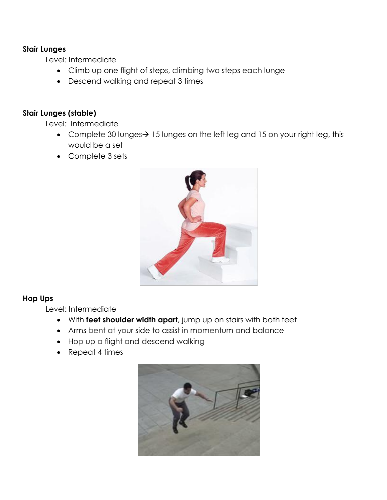#### **Stair Lunges**

Level: Intermediate

- Climb up one flight of steps, climbing two steps each lunge
- Descend walking and repeat 3 times

## **Stair Lunges (stable)**

Level: Intermediate

- Complete 30 lunges $\rightarrow$  15 lunges on the left leg and 15 on your right leg, this would be a set
- Complete 3 sets



## **Hop Ups**

Level: Intermediate

- With **feet shoulder width apart**, jump up on stairs with both feet
- Arms bent at your side to assist in momentum and balance
- Hop up a flight and descend walking
- Repeat 4 times

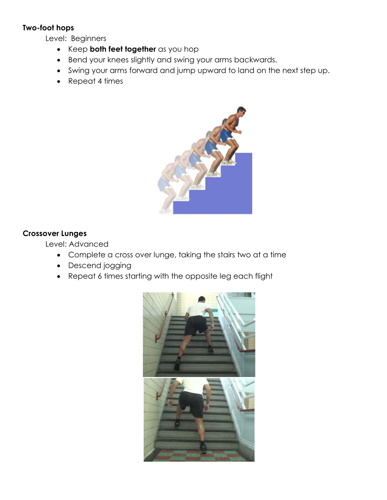## **Two-foot hops**

Level: Beginners

- Keep **both feet together** as you hop
- Bend your knees slightly and swing your arms backwards.
- Swing your arms forward and jump upward to land on the next step up.
- Repeat 4 times



## **Crossover Lunges**

Level: Advanced

- Complete a cross over lunge, taking the stairs two at a time
- Descend jogging
- Repeat 6 times starting with the opposite leg each flight

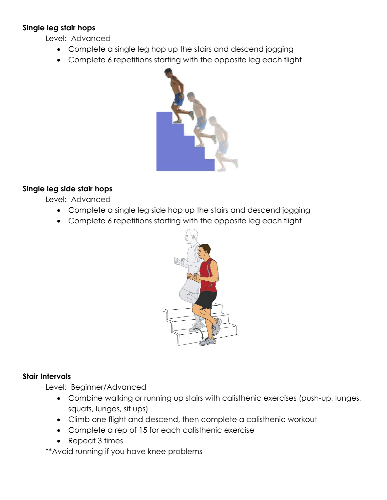#### **Single leg stair hops**

Level: Advanced

- Complete a single leg hop up the stairs and descend jogging
- Complete 6 repetitions starting with the opposite leg each flight



## **Single leg side stair hops**

Level: Advanced

- Complete a single leg side hop up the stairs and descend jogging
- Complete 6 repetitions starting with the opposite leg each flight



## **Stair Intervals**

Level: Beginner/Advanced

- Combine walking or running up stairs with calisthenic exercises (push-up, lunges, squats, lunges, sit ups)
- Climb one flight and descend, then complete a calisthenic workout
- Complete a rep of 15 for each calisthenic exercise
- Repeat 3 times

\*\*Avoid running if you have knee problems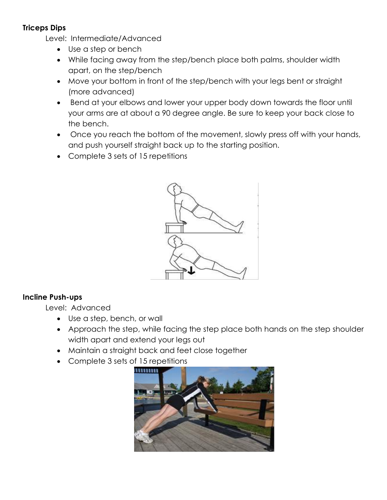# **Triceps Dips**

Level: Intermediate/Advanced

- Use a step or bench
- While facing away from the step/bench place both palms, shoulder width apart, on the step/bench
- Move your bottom in front of the step/bench with your legs bent or straight (more advanced)
- Bend at your elbows and lower your upper body down towards the floor until your arms are at about a 90 degree angle. Be sure to keep your back close to the bench.
- Once you reach the bottom of the movement, slowly press off with your hands, and push yourself straight back up to the starting position.
- Complete 3 sets of 15 repetitions



# **Incline Push-ups**

Level: Advanced

- Use a step, bench, or wall
- Approach the step, while facing the step place both hands on the step shoulder width apart and extend your legs out
- Maintain a straight back and feet close together
- Complete 3 sets of 15 repetitions

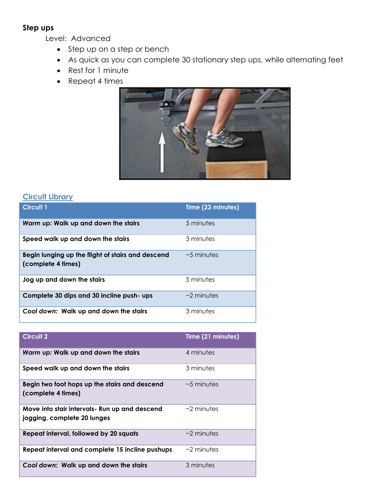#### **Step ups**

Level: Advanced

- Step up on a step or bench
- As quick as you can complete 30 stationary step ups, while alternating feet
- Rest for 1 minute
- Repeat 4 times



# **Circuit Library**

| <b>Circuit 1</b>                                                        | Time (23 minutes) |
|-------------------------------------------------------------------------|-------------------|
| Warm up: Walk up and down the stairs                                    | 5 minutes         |
| Speed walk up and down the stairs                                       | 3 minutes         |
| Begin lunging up the flight of stairs and descend<br>(complete 4 times) | $~5$ minutes      |
| Jog up and down the stairs                                              | 5 minutes         |
| Complete 30 dips and 30 incline push- ups                               | $\sim$ 2 minutes  |
| Cool down: Walk up and down the stairs                                  | 3 minutes         |

| <b>Circuit 2</b>                                                              | Time (21 minutes) |
|-------------------------------------------------------------------------------|-------------------|
| Warm up: Walk up and down the stairs                                          | 4 minutes         |
| Speed walk up and down the stairs                                             | 3 minutes         |
| Begin two foot hops up the stairs and descend<br>(complete 4 times)           | $\sim$ 5 minutes  |
| Move into stair intervals - Run up and descend<br>jogging, complete 20 lunges | $\sim$ 2 minutes  |
| Repeat interval, followed by 20 squats                                        | $\sim$ 2 minutes  |
| Repeat interval and complete 15 incline pushups                               | $\sim$ 2 minutes  |
| Cool down: Walk up and down the stairs                                        | 3 minutes         |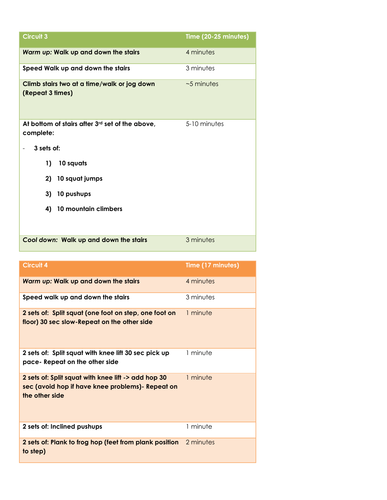| <b>Circuit 3</b>                                                | Time (20-25 minutes) |
|-----------------------------------------------------------------|----------------------|
| Warm up: Walk up and down the stairs                            | 4 minutes            |
| Speed Walk up and down the stairs                               | 3 minutes            |
| Climb stairs two at a time/walk or jog down<br>(Repeat 3 times) | $~5$ minutes         |
| At bottom of stairs after 3rd set of the above,<br>complete:    | 5-10 minutes         |
| 3 sets of:                                                      |                      |
| 10 squats<br>1)                                                 |                      |
| 10 squat jumps<br>2)                                            |                      |
| 3)<br>10 pushups                                                |                      |
| 10 mountain climbers<br>4)                                      |                      |
|                                                                 |                      |
| Cool down: Walk up and down the stairs                          | 3 minutes            |

| <b>Circuit 4</b>                                                                                                           | Time (17 minutes) |
|----------------------------------------------------------------------------------------------------------------------------|-------------------|
| Warm up: Walk up and down the stairs                                                                                       | 4 minutes         |
| Speed walk up and down the stairs                                                                                          | 3 minutes         |
| 2 sets of: Split squat (one foot on step, one foot on<br>floor) 30 sec slow-Repeat on the other side                       | 1 minute          |
| 2 sets of: Split squat with knee lift 30 sec pick up<br>pace- Repeat on the other side                                     | 1 minute          |
| 2 sets of: Split squat with knee lift -> add hop 30<br>sec (avoid hop if have knee problems) - Repeat on<br>the other side | 1 minute          |
| 2 sets of: Inclined pushups                                                                                                | 1 minute          |
| 2 sets of: Plank to frog hop (feet from plank position<br>to step)                                                         | 2 minutes         |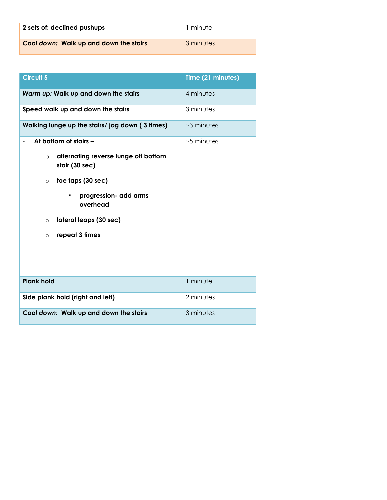| 2 sets of: declined pushups            | 1 minute  |
|----------------------------------------|-----------|
| Cool down: Walk up and down the stairs | 3 minutes |

| <b>Circuit 5</b>                                                  | Time (21 minutes) |
|-------------------------------------------------------------------|-------------------|
| Warm up: Walk up and down the stairs                              | 4 minutes         |
| Speed walk up and down the stairs                                 | 3 minutes         |
| Walking lunge up the stairs/jog down (3 times)                    | $~\sim$ 3 minutes |
| At bottom of stairs -                                             | $~5$ minutes      |
| alternating reverse lunge off bottom<br>$\circ$<br>stair (30 sec) |                   |
| toe taps (30 sec)<br>$\circ$                                      |                   |
| progression- add arms<br>٠<br>overhead                            |                   |
| lateral leaps (30 sec)<br>$\circ$                                 |                   |
| repeat 3 times<br>O                                               |                   |
|                                                                   |                   |
| <b>Plank hold</b>                                                 | 1 minute          |
| Side plank hold (right and left)                                  | 2 minutes         |
| Cool down: Walk up and down the stairs                            | 3 minutes         |